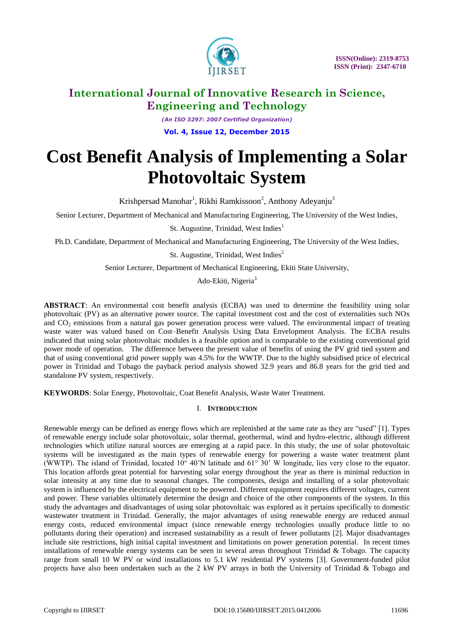

*(An ISO 3297: 2007 Certified Organization)* **Vol. 4, Issue 12, December 2015**

# **Cost Benefit Analysis of Implementing a Solar Photovoltaic System**

Krishpersad Manohar<sup>1</sup>, Rikhi Ramkissoon<sup>2</sup>, Anthony Adeyanju<sup>3</sup>

Senior Lecturer, Department of Mechanical and Manufacturing Engineering, The University of the West Indies,

St. Augustine, Trinidad, West Indies<sup>1</sup>

Ph.D. Candidate, Department of Mechanical and Manufacturing Engineering, The University of the West Indies,

St. Augustine, Trinidad, West Indies<sup>2</sup>

Senior Lecturer, Department of Mechanical Engineering, Ekiti State University,

Ado-Ekiti, Nigeria<sup>3</sup>

**ABSTRACT**: An environmental cost benefit analysis (ECBA) was used to determine the feasibility using solar photovoltaic (PV) as an alternative power source. The capital investment cost and the cost of externalities such NOx and  $CO<sub>2</sub>$  emissions from a natural gas power generation process were valued. The environmental impact of treating waste water was valued based on Cost–Benefit Analysis Using Data Envelopment Analysis. The ECBA results indicated that using solar photovoltaic modules is a feasible option and is comparable to the existing conventional grid power mode of operation. The difference between the present value of benefits of using the PV grid tied system and that of using conventional grid power supply was 4.5% for the WWTP. Due to the highly subsidised price of electrical power in Trinidad and Tobago the payback period analysis showed 32.9 years and 86.8 years for the grid tied and standalone PV system, respectively.

**KEYWORDS**: Solar Energy, Photovoltaic, Coat Benefit Analysis, Waste Water Treatment.

### I. **INTRODUCTION**

Renewable energy can be defined as energy flows which are replenished at the same rate as they are "used" [1]. Types of renewable energy include solar photovoltaic, solar thermal, geothermal, wind and hydro-electric, although different technologies which utilize natural sources are emerging at a rapid pace. In this study, the use of solar photovoltaic systems will be investigated as the main types of renewable energy for powering a waste water treatment plant (WWTP). The island of Trinidad, located 10° 40'N latitude and 61° 30' W longitude, lies very close to the equator. This location affords great potential for harvesting solar energy throughout the year as there is minimal reduction in solar intensity at any time due to seasonal changes. The components, design and installing of a solar photovoltaic system is influenced by the electrical equipment to be powered. Different equipment requires different voltages, current and power. These variables ultimately determine the design and choice of the other components of the system. In this study the advantages and disadvantages of using solar photovoltaic was explored as it pertains specifically to domestic wastewater treatment in Trinidad. Generally, the major advantages of using renewable energy are reduced annual energy costs, reduced environmental impact (since renewable energy technologies usually produce little to no pollutants during their operation) and increased sustainability as a result of fewer pollutants [2]. Major disadvantages include site restrictions, high initial capital investment and limitations on power generation potential. In recent times installations of renewable energy systems can be seen in several areas throughout Trinidad & Tobago. The capacity range from small 10 W PV or wind installations to 5.1 kW residential PV systems [3]. Government-funded pilot projects have also been undertaken such as the 2 kW PV arrays in both the University of Trinidad & Tobago and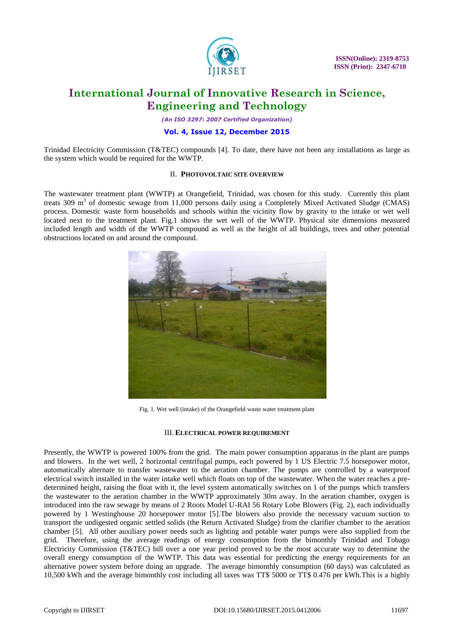

*(An ISO 3297: 2007 Certified Organization)*

### **Vol. 4, Issue 12, December 2015**

Trinidad Electricity Commission (T&TEC) compounds [4]. To date, there have not been any installations as large as the system which would be required for the WWTP.

### II. **PHOTOVOLTAIC SITE OVERVIEW**

The wastewater treatment plant (WWTP) at Orangefield, Trinidad, was chosen for this study. Currently this plant treats 309 m<sup>3</sup> of domestic sewage from 11,000 persons daily using a Completely Mixed Activated Sludge (CMAS) process. Domestic waste form households and schools within the vicinity flow by gravity to the intake or wet well located next to the treatment plant. Fig.1 shows the wet well of the WWTP. Physical site dimensions measured included length and width of the WWTP compound as well as the height of all buildings, trees and other potential obstructions located on and around the compound.



Fig. 1. Wet well (intake) of the Orangefield waste water treatment plant

#### III. **ELECTRICAL POWER REQUIREMENT**

Presently, the WWTP is powered 100% from the grid. The main power consumption apparatus in the plant are pumps and blowers. In the wet well, 2 horizontal centrifugal pumps, each powered by 1 US Electric 7.5 horsepower motor, automatically alternate to transfer wastewater to the aeration chamber. The pumps are controlled by a waterproof electrical switch installed in the water intake well which floats on top of the wastewater. When the water reaches a predetermined height, raising the float with it, the level system automatically switches on 1 of the pumps which transfers the wastewater to the aeration chamber in the WWTP approximately 30m away. In the aeration chamber, oxygen is introduced into the raw sewage by means of 2 Roots Model U-RAI 56 Rotary Lobe Blowers (Fig. 2), each individually powered by 1 Westinghouse 20 horsepower motor [5].The blowers also provide the necessary vacuum suction to transport the undigested organic settled solids (the Return Activated Sludge) from the clarifier chamber to the aeration chamber [5]. All other auxiliary power needs such as lighting and potable water pumps were also supplied from the grid. Therefore, using the average readings of energy consumption from the bimonthly Trinidad and Tobago Electricity Commission (T&TEC) bill over a one year period proved to be the most accurate way to determine the overall energy consumption of the WWTP. This data was essential for predicting the energy requirements for an alternative power system before doing an upgrade. The average bimonthly consumption (60 days) was calculated as 10,500 kWh and the average bimonthly cost including all taxes was TT\$ 5000 or TT\$ 0.476 per kWh.This is a highly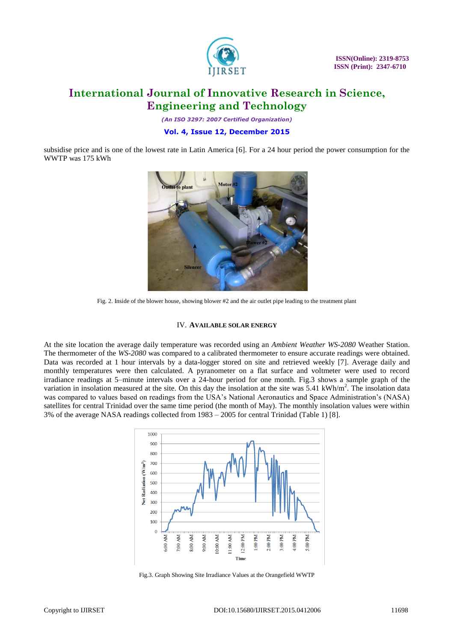

*(An ISO 3297: 2007 Certified Organization)*

### **Vol. 4, Issue 12, December 2015**

subsidise price and is one of the lowest rate in Latin America [6]. For a 24 hour period the power consumption for the WWTP was 175 kWh



Fig. 2. Inside of the blower house, showing blower #2 and the air outlet pipe leading to the treatment plant

### IV. **AVAILABLE SOLAR ENERGY**

At the site location the average daily temperature was recorded using an *Ambient Weather WS-2080* Weather Station. The thermometer of the *WS-2080* was compared to a calibrated thermometer to ensure accurate readings were obtained. Data was recorded at 1 hour intervals by a data-logger stored on site and retrieved weekly [7]. Average daily and monthly temperatures were then calculated. A pyranometer on a flat surface and voltmeter were used to record irradiance readings at 5–minute intervals over a 24-hour period for one month. Fig.3 shows a sample graph of the variation in insolation measured at the site. On this day the insolation at the site was 5.41 kWh/m<sup>2</sup>. The insolation data was compared to values based on readings from the USA's National Aeronautics and Space Administration's (NASA) satellites for central Trinidad over the same time period (the month of May). The monthly insolation values were within 3% of the average NASA readings collected from 1983 – 2005 for central Trinidad (Table 1) [8].



Fig.3. Graph Showing Site Irradiance Values at the Orangefield WWTP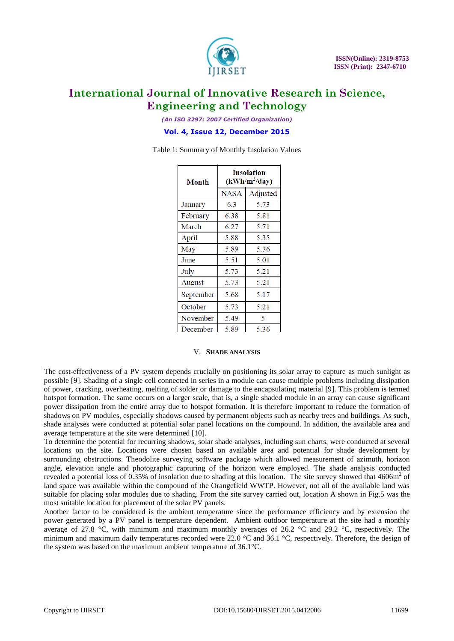

*(An ISO 3297: 2007 Certified Organization)*

### **Vol. 4, Issue 12, December 2015**

Table 1: Summary of Monthly Insolation Values

| Month     | <b>Insolation</b><br>$(kWh/m^2/day)$ |          |  |
|-----------|--------------------------------------|----------|--|
|           | <b>NASA</b>                          | Adjusted |  |
| January   | 63                                   | 5.73     |  |
| February  | 6.38                                 | 5.81     |  |
| March     | 6.27                                 | 5.71     |  |
| April     | 5.88                                 | 5.35     |  |
| May       | 5.89                                 | 5.36     |  |
| June      | 5.51                                 | 5.01     |  |
| July      | 5.73                                 | 5.21     |  |
| August    | 5.73                                 | 5.21     |  |
| September | 5.68                                 | 5.17     |  |
| October   | 5.73                                 | 5.21     |  |
| November  | 5.49                                 | 5        |  |
| December  | 5.89                                 | 5.36     |  |

### V. **SHADE ANALYSIS**

The cost-effectiveness of a PV system depends crucially on positioning its solar array to capture as much sunlight as possible [9]. Shading of a single cell connected in series in a module can cause multiple problems including dissipation of power, cracking, overheating, melting of solder or damage to the encapsulating material [9]. This problem is termed hotspot formation. The same occurs on a larger scale, that is, a single shaded module in an array can cause significant power dissipation from the entire array due to hotspot formation. It is therefore important to reduce the formation of shadows on PV modules, especially shadows caused by permanent objects such as nearby trees and buildings. As such, shade analyses were conducted at potential solar panel locations on the compound. In addition, the available area and average temperature at the site were determined [10].

To determine the potential for recurring shadows, solar shade analyses, including sun charts, were conducted at several locations on the site. Locations were chosen based on available area and potential for shade development by surrounding obstructions. Theodolite surveying software package which allowed measurement of azimuth, horizon angle, elevation angle and photographic capturing of the horizon were employed. The shade analysis conducted revealed a potential loss of  $0.35\%$  of insolation due to shading at this location. The site survey showed that  $4606m^2$  of land space was available within the compound of the Orangefield WWTP. However, not all of the available land was suitable for placing solar modules due to shading. From the site survey carried out, location A shown in Fig.5 was the most suitable location for placement of the solar PV panels.

Another factor to be considered is the ambient temperature since the performance efficiency and by extension the power generated by a PV panel is temperature dependent. Ambient outdoor temperature at the site had a monthly average of 27.8  $\degree$ C, with minimum and maximum monthly averages of 26.2  $\degree$ C and 29.2  $\degree$ C, respectively. The minimum and maximum daily temperatures recorded were 22.0  $^{\circ}$ C and 36.1  $^{\circ}$ C, respectively. Therefore, the design of the system was based on the maximum ambient temperature of 36.1°C.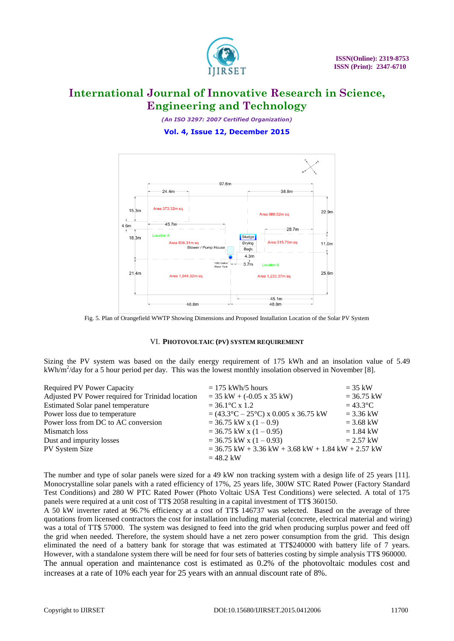

*(An ISO 3297: 2007 Certified Organization)* **Vol. 4, Issue 12, December 2015**



Fig. 5. Plan of Orangefield WWTP Showing Dimensions and Proposed Installation Location of the Solar PV System

### VI. **PHOTOVOLTAIC (PV) SYSTEM REQUIREMENT**

Sizing the PV system was based on the daily energy requirement of 175 kWh and an insolation value of 5.49  $kWh/m<sup>2</sup>/day$  for a 5 hour period per day. This was the lowest monthly insolation observed in November [8].

| <b>Required PV Power Capacity</b>                | $= 175$ kWh/5 hours                                            | $=$ 35 kW        |
|--------------------------------------------------|----------------------------------------------------------------|------------------|
| Adjusted PV Power required for Trinidad location | $=$ 35 kW + (-0.05 x 35 kW)                                    | $= 36.75$ kW     |
| <b>Estimated Solar panel temperature</b>         | $= 36.1$ °C x 1.2                                              | $=43.3\degree$ C |
| Power loss due to temperature                    | $= (43.3^{\circ}C - 25^{\circ}C) \times 0.005 \times 36.75$ kW | $= 3.36$ kW      |
| Power loss from DC to AC conversion              | $=$ 36.75 kW x (1 - 0.9)                                       | $= 3.68$ kW      |
| Mismatch loss                                    | $=$ 36.75 kW x (1 - 0.95)                                      | $= 1.84$ kW      |
| Dust and impurity losses                         | $=$ 36.75 kW x (1 - 0.93)                                      | $= 2.57$ kW      |
| PV System Size                                   | $=$ 36.75 kW + 3.36 kW + 3.68 kW + 1.84 kW + 2.57 kW           |                  |
|                                                  | $= 48.2$ kW                                                    |                  |

The number and type of solar panels were sized for a 49 kW non tracking system with a design life of 25 years [11]. Monocrystalline solar panels with a rated efficiency of 17%, 25 years life, 300W STC Rated Power (Factory Standard Test Conditions) and 280 W PTC Rated Power (Photo Voltaic USA Test Conditions) were selected. A total of 175 panels were required at a unit cost of TT\$ 2058 resulting in a capital investment of TT\$ 360150.

A 50 kW inverter rated at 96.7% efficiency at a cost of TT\$ 146737 was selected. Based on the average of three quotations from licensed contractors the cost for installation including material (concrete, electrical material and wiring) was a total of TT\$ 57000. The system was designed to feed into the grid when producing surplus power and feed off the grid when needed. Therefore, the system should have a net zero power consumption from the grid. This design eliminated the need of a battery bank for storage that was estimated at TT\$240000 with battery life of 7 years. However, with a standalone system there will be need for four sets of batteries costing by simple analysis TT\$ 960000.

The annual operation and maintenance cost is estimated as 0.2% of the photovoltaic modules cost and increases at a rate of 10% each year for 25 years with an annual discount rate of 8%.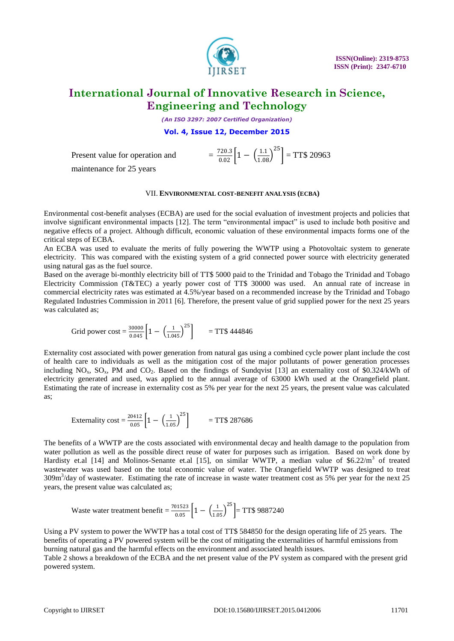

*(An ISO 3297: 2007 Certified Organization)*

**Vol. 4, Issue 12, December 2015**

Present value for operation and

maintenance for 25 years

#### VII. **ENVIRONMENTAL COST-BENEFIT ANALYSIS (ECBA)**

 $\frac{720.3}{0.02}$  $\left[1 - \left(\frac{1.1}{1.08}\right)^{25}\right]$  = TT\$ 20963

Environmental cost-benefit analyses (ECBA) are used for the social evaluation of investment projects and policies that involve significant environmental impacts [12]. The term "environmental impact" is used to include both positive and negative effects of a project. Although difficult, economic valuation of these environmental impacts forms one of the critical steps of ECBA.

An ECBA was used to evaluate the merits of fully powering the WWTP using a Photovoltaic system to generate electricity. This was compared with the existing system of a grid connected power source with electricity generated using natural gas as the fuel source.

Based on the average bi-monthly electricity bill of TT\$ 5000 paid to the Trinidad and Tobago the Trinidad and Tobago Electricity Commission (T&TEC) a yearly power cost of TT\$ 30000 was used. An annual rate of increase in commercial electricity rates was estimated at 4.5%/year based on a recommended increase by the Trinidad and Tobago Regulated Industries Commission in 2011 [6]. Therefore, the present value of grid supplied power for the next 25 years was calculated as;

Grid power cost = 
$$
\frac{30000}{0.045} \left[ 1 - \left( \frac{1}{1.045} \right)^{25} \right]
$$
 = TTS 444846

Externality cost associated with power generation from natural gas using a combined cycle power plant include the cost of health care to individuals as well as the mitigation cost of the major pollutants of power generation processes including  $NO_x$ ,  $SO_x$ , PM and  $CO_2$ . Based on the findings of Sundqvist [13] an externality cost of \$0.324/kWh of electricity generated and used, was applied to the annual average of 63000 kWh used at the Orangefield plant. Estimating the rate of increase in externality cost as 5% per year for the next 25 years, the present value was calculated as;

$$
Externality cost = \frac{20412}{0.05} \left[ 1 - \left( \frac{1}{1.05} \right)^{25} \right] = TT\$ 287686
$$

The benefits of a WWTP are the costs associated with environmental decay and health damage to the population from water pollution as well as the possible direct reuse of water for purposes such as irrigation. Based on work done by Hardisty et.al [14] and Molinos-Senante et.al [15], on similar WWTP, a median value of \$6.22/m<sup>3</sup> of treated wastewater was used based on the total economic value of water. The Orangefield WWTP was designed to treat 309m<sup>3</sup>/day of wastewater. Estimating the rate of increase in waste water treatment cost as 5% per year for the next 25 years, the present value was calculated as;

Waste water treatment benefit = 
$$
\frac{701523}{0.05} \left[ 1 - \left( \frac{1}{1.05} \right)^{25} \right]
$$
 = TT\$ 9887240

Using a PV system to power the WWTP has a total cost of TT\$ 584850 for the design operating life of 25 years. The benefits of operating a PV powered system will be the cost of mitigating the externalities of harmful emissions from burning natural gas and the harmful effects on the environment and associated health issues.

Table 2 shows a breakdown of the ECBA and the net present value of the PV system as compared with the present grid powered system.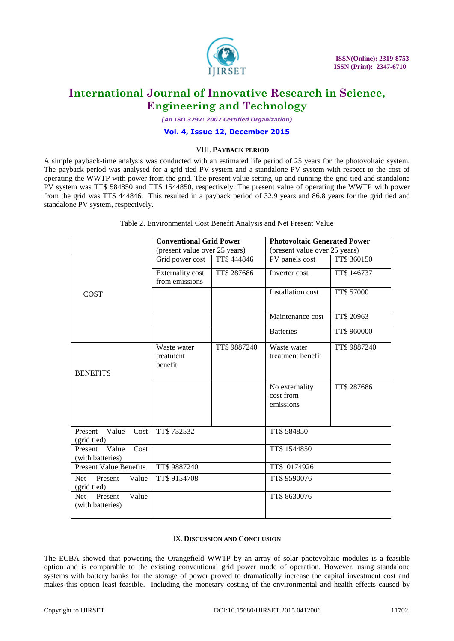

*(An ISO 3297: 2007 Certified Organization)*

### **Vol. 4, Issue 12, December 2015**

### VIII. **PAYBACK PERIOD**

A simple payback-time analysis was conducted with an estimated life period of 25 years for the photovoltaic system. The payback period was analysed for a grid tied PV system and a standalone PV system with respect to the cost of operating the WWTP with power from the grid. The present value setting-up and running the grid tied and standalone PV system was TT\$ 584850 and TT\$ 1544850, respectively. The present value of operating the WWTP with power from the grid was TT\$ 444846. This resulted in a payback period of 32.9 years and 86.8 years for the grid tied and standalone PV system, respectively.

|                                              | <b>Conventional Grid Power</b>            |              | <b>Photovoltaic Generated Power</b>      |              |
|----------------------------------------------|-------------------------------------------|--------------|------------------------------------------|--------------|
|                                              | (present value over 25 years)             |              | (present value over 25 years)            |              |
|                                              | Grid power cost                           | TT\$444846   | PV panels cost                           | TT\$ 360150  |
|                                              | <b>Externality cost</b><br>from emissions | TT\$ 287686  | Inverter cost                            | TT\$ 146737  |
| <b>COST</b>                                  |                                           |              | Installation cost                        | TT\$ 57000   |
|                                              |                                           |              | Maintenance cost                         | TT\$ 20963   |
|                                              |                                           |              | <b>Batteries</b>                         | TT\$ 960000  |
| <b>BENEFITS</b>                              | Waste water<br>treatment<br>benefit       | TT\$ 9887240 | Waste water<br>treatment benefit         | TT\$ 9887240 |
|                                              |                                           |              | No externality<br>cost from<br>emissions | TT\$ 287686  |
| Present<br>Value<br>Cost<br>(grid tied)      | TT\$732532                                |              | TT\$ 584850                              |              |
| Value<br>Cost<br>Present<br>(with batteries) |                                           |              | TT\$ 1544850                             |              |
| <b>Present Value Benefits</b>                | TT\$ 9887240                              |              | TT\$10174926                             |              |
| Value<br>Net.<br>Present<br>(grid tied)      | TT\$ 9154708                              |              | TT\$ 9590076                             |              |
| Value<br>Net.<br>Present<br>(with batteries) |                                           |              | TT\$ 8630076                             |              |

Table 2. Environmental Cost Benefit Analysis and Net Present Value

#### IX.**DISCUSSION AND CONCLUSION**

The ECBA showed that powering the Orangefield WWTP by an array of solar photovoltaic modules is a feasible option and is comparable to the existing conventional grid power mode of operation. However, using standalone systems with battery banks for the storage of power proved to dramatically increase the capital investment cost and makes this option least feasible. Including the monetary costing of the environmental and health effects caused by